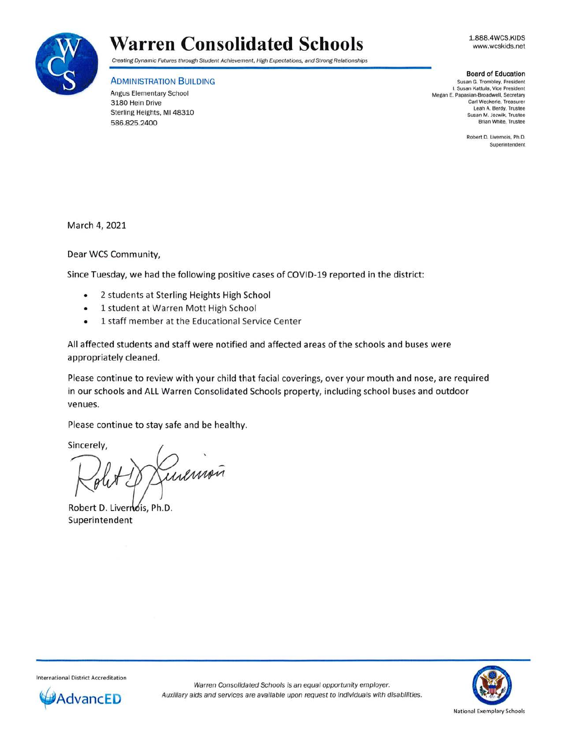

## **Warren Consolidated Schools**

Creating Dynamic Futures through Student Achievement, High Expectations, and Strong Relationships

## ADMINISTRATION BUILDING

Angus Elementary School 3180 Hein Drive Sterling Heights, Ml 48310 586.825.2400

**Board of Education**  Susan G. Trombley. President I. Susan Kattula, Vice President Megan E. Papasian-Broadwell, Secretary Carl Weckerle, Treasurer Leah A. Berdy, Trustee Susan M. Jozwik. Trustee Brian White, Trustee

> Robert D. Livernois, Ph .D. Superintendent

March 4, 2021

Dear WCS Community,

Since Tuesday, we had the following positive cases of COVID-19 reported in the district:

- 2 students at Sterling Heights High School
- 1 student at Warren Mott High School
- 1 staff member at the Educational Service Center

All affected students and staff were notified and affected areas of the schools and buses were appropriately cleaned.

Please continue to review with your child that facial coverings, over your mouth and nose, are required in our schools and ALL Warren Consolidated Schools property, including school buses and outdoor venues.

Please continue to stay safe and be healthy.

Sincerely,

inemoñ

Robert D. Livernois, Ph.D. Superintendent